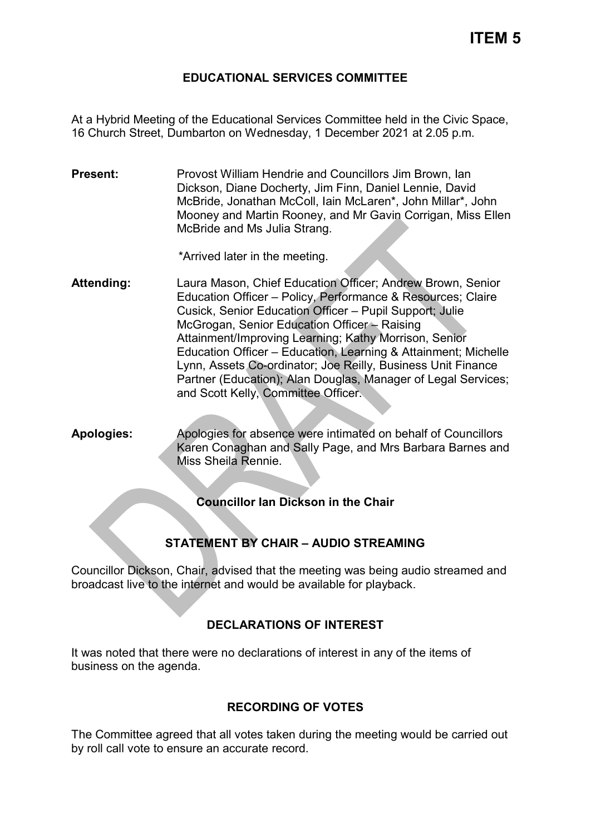### **EDUCATIONAL SERVICES COMMITTEE**

At a Hybrid Meeting of the Educational Services Committee held in the Civic Space, 16 Church Street, Dumbarton on Wednesday, 1 December 2021 at 2.05 p.m.

**Present:** Provost William Hendrie and Councillors Jim Brown, Ian Dickson, Diane Docherty, Jim Finn, Daniel Lennie, David McBride, Jonathan McColl, Iain McLaren\*, John Millar\*, John Mooney and Martin Rooney, and Mr Gavin Corrigan, Miss Ellen McBride and Ms Julia Strang.

\*Arrived later in the meeting.

- **Attending:** Laura Mason, Chief Education Officer; Andrew Brown, Senior Education Officer – Policy, Performance & Resources; Claire Cusick, Senior Education Officer – Pupil Support; Julie McGrogan, Senior Education Officer – Raising Attainment/Improving Learning; Kathy Morrison, Senior Education Officer – Education, Learning & Attainment; Michelle Lynn, Assets Co-ordinator; Joe Reilly, Business Unit Finance Partner (Education); Alan Douglas, Manager of Legal Services; and Scott Kelly, Committee Officer.
- **Apologies:** Apologies for absence were intimated on behalf of Councillors Karen Conaghan and Sally Page, and Mrs Barbara Barnes and Miss Sheila Rennie.

**Councillor Ian Dickson in the Chair**

# **STATEMENT BY CHAIR – AUDIO STREAMING**

Councillor Dickson, Chair, advised that the meeting was being audio streamed and broadcast live to the internet and would be available for playback.

# **DECLARATIONS OF INTEREST**

It was noted that there were no declarations of interest in any of the items of business on the agenda.

# **RECORDING OF VOTES**

The Committee agreed that all votes taken during the meeting would be carried out by roll call vote to ensure an accurate record.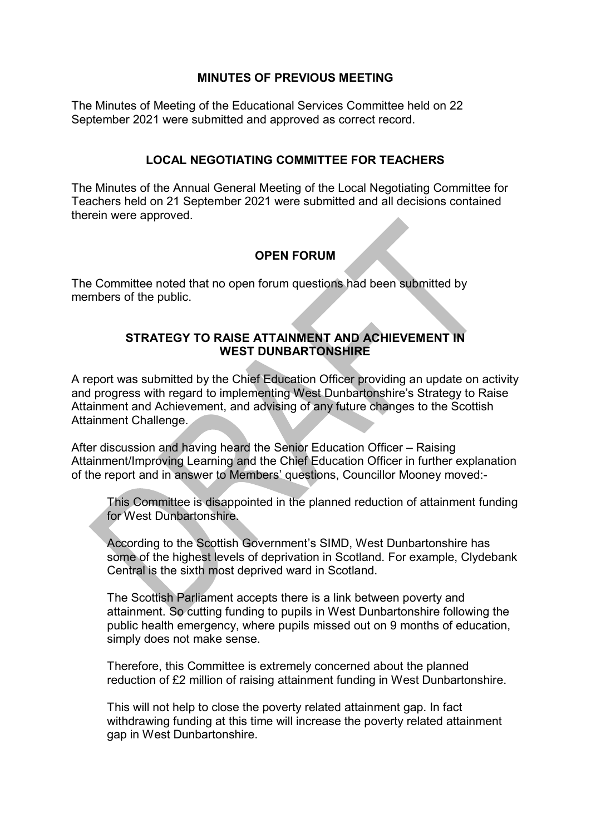### **MINUTES OF PREVIOUS MEETING**

The Minutes of Meeting of the Educational Services Committee held on 22 September 2021 were submitted and approved as correct record.

### **LOCAL NEGOTIATING COMMITTEE FOR TEACHERS**

The Minutes of the Annual General Meeting of the Local Negotiating Committee for Teachers held on 21 September 2021 were submitted and all decisions contained therein were approved.

# **OPEN FORUM**

The Committee noted that no open forum questions had been submitted by members of the public.

### **STRATEGY TO RAISE ATTAINMENT AND ACHIEVEMENT IN WEST DUNBARTONSHIRE**

A report was submitted by the Chief Education Officer providing an update on activity and progress with regard to implementing West Dunbartonshire's Strategy to Raise Attainment and Achievement, and advising of any future changes to the Scottish Attainment Challenge.

After discussion and having heard the Senior Education Officer – Raising Attainment/Improving Learning and the Chief Education Officer in further explanation of the report and in answer to Members' questions, Councillor Mooney moved:-

This Committee is disappointed in the planned reduction of attainment funding for West Dunbartonshire.

According to the Scottish Government's SIMD, West Dunbartonshire has some of the highest levels of deprivation in Scotland. For example, Clydebank Central is the sixth most deprived ward in Scotland.

The Scottish Parliament accepts there is a link between poverty and attainment. So cutting funding to pupils in West Dunbartonshire following the public health emergency, where pupils missed out on 9 months of education, simply does not make sense.

Therefore, this Committee is extremely concerned about the planned reduction of £2 million of raising attainment funding in West Dunbartonshire.

This will not help to close the poverty related attainment gap. In fact withdrawing funding at this time will increase the poverty related attainment gap in West Dunbartonshire.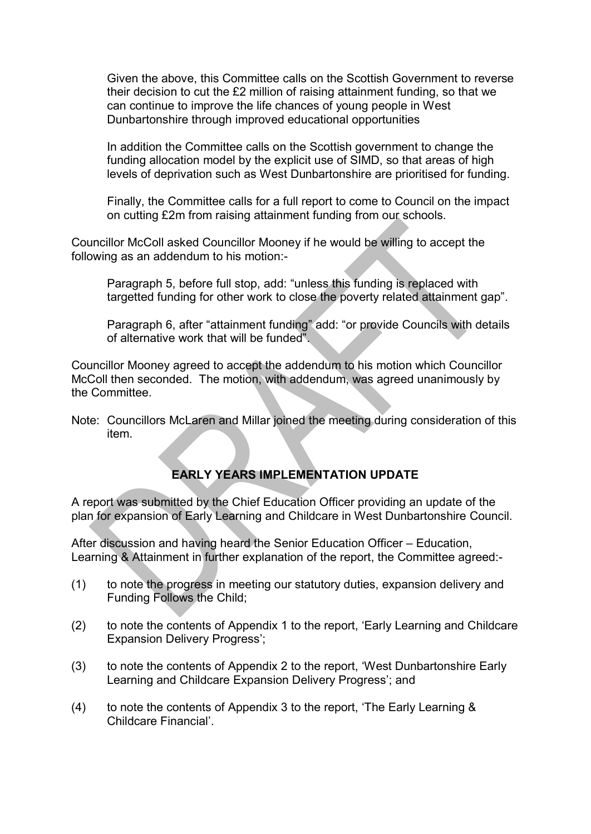Given the above, this Committee calls on the Scottish Government to reverse their decision to cut the £2 million of raising attainment funding, so that we can continue to improve the life chances of young people in West Dunbartonshire through improved educational opportunities

In addition the Committee calls on the Scottish government to change the funding allocation model by the explicit use of SIMD, so that areas of high levels of deprivation such as West Dunbartonshire are prioritised for funding.

Finally, the Committee calls for a full report to come to Council on the impact on cutting £2m from raising attainment funding from our schools.

Councillor McColl asked Councillor Mooney if he would be willing to accept the following as an addendum to his motion:-

Paragraph 5, before full stop, add: "unless this funding is replaced with targetted funding for other work to close the poverty related attainment gap".

Paragraph 6, after "attainment funding" add: "or provide Councils with details of alternative work that will be funded".

Councillor Mooney agreed to accept the addendum to his motion which Councillor McColl then seconded. The motion, with addendum, was agreed unanimously by the Committee.

Note: Councillors McLaren and Millar joined the meeting during consideration of this item.

# **EARLY YEARS IMPLEMENTATION UPDATE**

A report was submitted by the Chief Education Officer providing an update of the plan for expansion of Early Learning and Childcare in West Dunbartonshire Council.

After discussion and having heard the Senior Education Officer – Education, Learning & Attainment in further explanation of the report, the Committee agreed:-

- (1) to note the progress in meeting our statutory duties, expansion delivery and Funding Follows the Child;
- (2) to note the contents of Appendix 1 to the report, 'Early Learning and Childcare Expansion Delivery Progress';
- (3) to note the contents of Appendix 2 to the report, 'West Dunbartonshire Early Learning and Childcare Expansion Delivery Progress'; and
- (4) to note the contents of Appendix 3 to the report, 'The Early Learning & Childcare Financial'.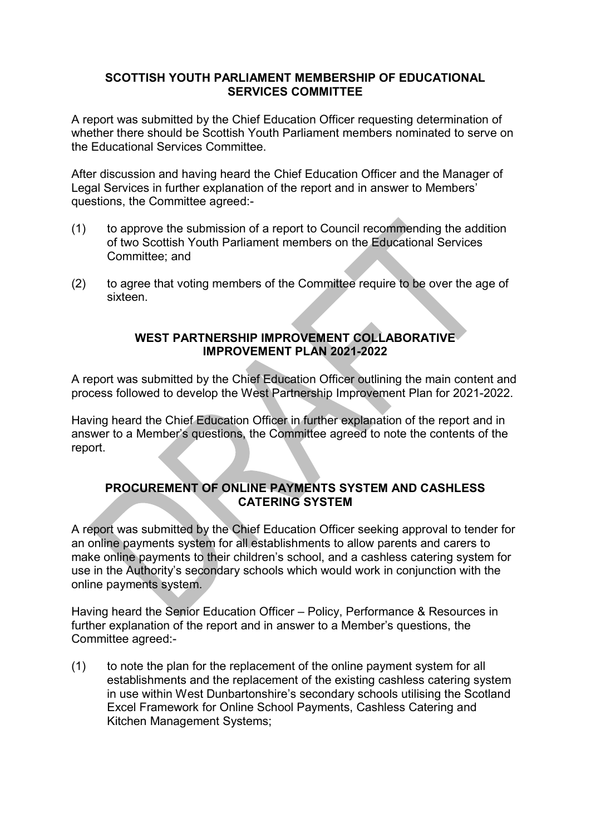#### **SCOTTISH YOUTH PARLIAMENT MEMBERSHIP OF EDUCATIONAL SERVICES COMMITTEE**

A report was submitted by the Chief Education Officer requesting determination of whether there should be Scottish Youth Parliament members nominated to serve on the Educational Services Committee.

After discussion and having heard the Chief Education Officer and the Manager of Legal Services in further explanation of the report and in answer to Members' questions, the Committee agreed:-

- (1) to approve the submission of a report to Council recommending the addition of two Scottish Youth Parliament members on the Educational Services Committee; and
- (2) to agree that voting members of the Committee require to be over the age of sixteen.

### **WEST PARTNERSHIP IMPROVEMENT COLLABORATIVE IMPROVEMENT PLAN 2021-2022**

A report was submitted by the Chief Education Officer outlining the main content and process followed to develop the West Partnership Improvement Plan for 2021-2022.

Having heard the Chief Education Officer in further explanation of the report and in answer to a Member's questions, the Committee agreed to note the contents of the report.

# **PROCUREMENT OF ONLINE PAYMENTS SYSTEM AND CASHLESS CATERING SYSTEM**

A report was submitted by the Chief Education Officer seeking approval to tender for an online payments system for all establishments to allow parents and carers to make online payments to their children's school, and a cashless catering system for use in the Authority's secondary schools which would work in conjunction with the online payments system.

Having heard the Senior Education Officer – Policy, Performance & Resources in further explanation of the report and in answer to a Member's questions, the Committee agreed:-

(1) to note the plan for the replacement of the online payment system for all establishments and the replacement of the existing cashless catering system in use within West Dunbartonshire's secondary schools utilising the Scotland Excel Framework for Online School Payments, Cashless Catering and Kitchen Management Systems;